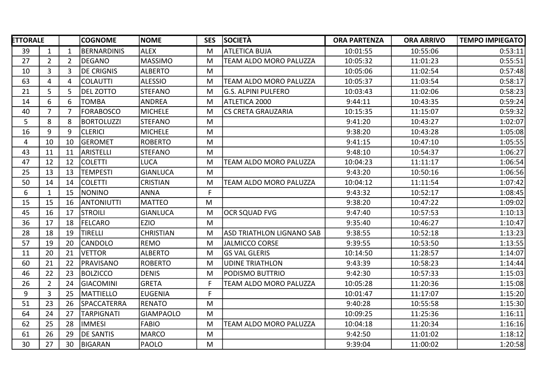| <b>ETTORALE</b> |                |    | <b>COGNOME</b>     | <b>NOME</b>      | <b>SES</b> | <b>SOCIETÀ</b>                   | <b>ORA PARTENZA</b> | <b>ORA ARRIVO</b> | <b>TEMPO IMPIEGATO</b> |
|-----------------|----------------|----|--------------------|------------------|------------|----------------------------------|---------------------|-------------------|------------------------|
| 39              | 1              | 1  | BERNARDINIS        | <b>ALEX</b>      | М          | ATLETICA BUJA                    | 10:01:55            | 10:55:06          | 0:53:11                |
| 27              | $\overline{2}$ | 2  | DEGANO             | <b>MASSIMO</b>   | M          | TEAM ALDO MORO PALUZZA           | 10:05:32            | 11:01:23          | 0:55:51                |
| 10              | $\overline{3}$ | 3  | <b>DE CRIGNIS</b>  | <b>ALBERTO</b>   | M          |                                  | 10:05:06            | 11:02:54          | 0:57:48                |
| 63              | 4              | 4  | COLAUTTI           | <b>ALESSIO</b>   | M          | TEAM ALDO MORO PALUZZA           | 10:05:37            | 11:03:54          | 0:58:17                |
| 21              | 5              | 5  | DEL ZOTTO          | <b>STEFANO</b>   | M          | G.S. ALPINI PULFERO              | 10:03:43            | 11:02:06          | 0:58:23                |
| 14              | 6              | 6  | TOMBA              | <b>ANDREA</b>    | M          | ATLETICA 2000                    | 9:44:11             | 10:43:35          | 0:59:24                |
| 40              | 7              |    | FORABOSCO          | <b>MICHELE</b>   | M          | <b>CS CRETA GRAUZARIA</b>        | 10:15:35            | 11:15:07          | 0:59:32                |
| 5               | 8              | 8  | <b>BORTOLUZZI</b>  | <b>STEFANO</b>   | M          |                                  | 9:41:20             | 10:43:27          | 1:02:07                |
| 16              | 9              | 9  | <b>CLERICI</b>     | <b>MICHELE</b>   | M          |                                  | 9:38:20             | 10:43:28          | 1:05:08                |
| 4               | 10             | 10 | <b>GEROMET</b>     | <b>ROBERTO</b>   | M          |                                  | 9:41:15             | 10:47:10          | 1:05:55                |
| 43              | 11             | 11 | ARISTELLI          | <b>STEFANO</b>   | M          |                                  | 9:48:10             | 10:54:37          | 1:06:27                |
| 47              | 12             | 12 | <b>COLETTI</b>     | <b>LUCA</b>      | M          | TEAM ALDO MORO PALUZZA           | 10:04:23            | 11:11:17          | 1:06:54                |
| 25              | 13             | 13 | <b>TEMPESTI</b>    | <b>GIANLUCA</b>  | M          |                                  | 9:43:20             | 10:50:16          | 1:06:56                |
| 50              | 14             | 14 | <b>COLETTI</b>     | <b>CRISTIAN</b>  | M          | TEAM ALDO MORO PALUZZA           | 10:04:12            | 11:11:54          | 1:07:42                |
| 6               | $\mathbf{1}$   | 15 | <b>NONINO</b>      | <b>ANNA</b>      | F.         |                                  | 9:43:32             | 10:52:17          | 1:08:45                |
| 15              | 15             | 16 | <b>ANTONIUTTI</b>  | <b>MATTEO</b>    | M          |                                  | 9:38:20             | 10:47:22          | 1:09:02                |
| 45              | 16             | 17 | <b>STROILI</b>     | <b>GIANLUCA</b>  | M          | <b>OCR SQUAD FVG</b>             | 9:47:40             | 10:57:53          | 1:10:13                |
| 36              | 17             | 18 | FELCARO            | <b>EZIO</b>      | M          |                                  | 9:35:40             | 10:46:27          | 1:10:47                |
| 28              | 18             | 19 | <b>TIRELLI</b>     | <b>CHRISTIAN</b> | M          | <b>ASD TRIATHLON LIGNANO SAB</b> | 9:38:55             | 10:52:18          | 1:13:23                |
| 57              | 19             | 20 | <b>CANDOLO</b>     | <b>REMO</b>      | M          | <b>JALMICCO CORSE</b>            | 9:39:55             | 10:53:50          | 1:13:55                |
| 11              | 20             | 21 | <b>VETTOR</b>      | <b>ALBERTO</b>   | M          | <b>GS VAL GLERIS</b>             | 10:14:50            | 11:28:57          | 1:14:07                |
| 60              | 21             | 22 | <b>PRAVISANO</b>   | <b>ROBERTO</b>   | M          | <b>UDINE TRIATHLON</b>           | 9:43:39             | 10:58:23          | 1:14:44                |
| 46              | 22             | 23 | <b>BOLZICCO</b>    | <b>DENIS</b>     | M          | PODISMO BUTTRIO                  | 9:42:30             | 10:57:33          | 1:15:03                |
| 26              | $\overline{2}$ | 24 | <b>GIACOMINI</b>   | <b>GRETA</b>     | F.         | TEAM ALDO MORO PALUZZA           | 10:05:28            | 11:20:36          | 1:15:08                |
| 9               | 3              | 25 | MATTIELLO          | <b>EUGENIA</b>   | F.         |                                  | 10:01:47            | 11:17:07          | 1:15:20                |
| 51              | 23             | 26 | <b>SPACCATERRA</b> | <b>RENATO</b>    | M          |                                  | 9:40:28             | 10:55:58          | 1:15:30                |
| 64              | 24             | 27 | <b>TARPIGNATI</b>  | <b>GIAMPAOLO</b> | M          |                                  | 10:09:25            | 11:25:36          | 1:16:11                |
| 62              | 25             | 28 | <b>IMMESI</b>      | <b>FABIO</b>     | M          | TEAM ALDO MORO PALUZZA           | 10:04:18            | 11:20:34          | 1:16:16                |
| 61              | 26             | 29 | <b>DE SANTIS</b>   | <b>MARCO</b>     | M          |                                  | 9:42:50             | 11:01:02          | 1:18:12                |
| 30              | 27             | 30 | BIGARAN            | <b>PAOLO</b>     | M          |                                  | 9:39:04             | 11:00:02          | 1:20:58                |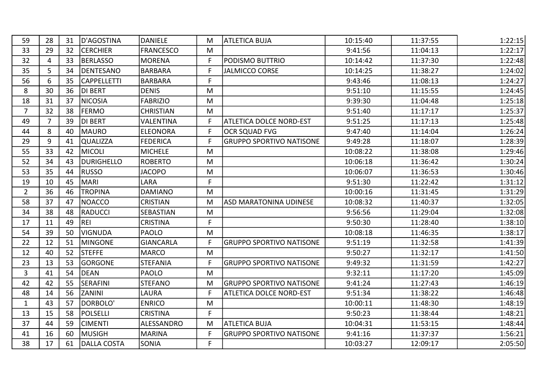| 59             | 28 | 31 | D'AGOSTINA         | <b>DANIELE</b>   | M  | ATLETICA BUJA                   | 10:15:40 | 11:37:55 | 1:22:15 |
|----------------|----|----|--------------------|------------------|----|---------------------------------|----------|----------|---------|
| 33             | 29 | 32 | <b>CERCHIER</b>    | <b>FRANCESCO</b> | M  |                                 | 9:41:56  | 11:04:13 | 1:22:17 |
| 32             | 4  | 33 | <b>BERLASSO</b>    | <b>MORENA</b>    | F. | PODISMO BUTTRIO                 | 10:14:42 | 11:37:30 | 1:22:48 |
| 35             | 5  | 34 | DENTESANO          | <b>BARBARA</b>   | F. | <b>JALMICCO CORSE</b>           | 10:14:25 | 11:38:27 | 1:24:02 |
| 56             | 6  | 35 | <b>CAPPELLETTI</b> | BARBARA          | F. |                                 | 9:43:46  | 11:08:13 | 1:24:27 |
| 8              | 30 | 36 | DI BERT            | <b>DENIS</b>     | M  |                                 | 9:51:10  | 11:15:55 | 1:24:45 |
| 18             | 31 | 37 | NICOSIA            | <b>FABRIZIO</b>  | M  |                                 | 9:39:30  | 11:04:48 | 1:25:18 |
| $\overline{7}$ | 32 | 38 | <b>FERMO</b>       | <b>CHRISTIAN</b> | M  |                                 | 9:51:40  | 11:17:17 | 1:25:37 |
| 49             | 7  | 39 | DI BERT            | <b>VALENTINA</b> | F. | <b>ATLETICA DOLCE NORD-EST</b>  | 9:51:25  | 11:17:13 | 1:25:48 |
| 44             | 8  | 40 | lmauro             | <b>ELEONORA</b>  | F  | <b>OCR SQUAD FVG</b>            | 9:47:40  | 11:14:04 | 1:26:24 |
| 29             | 9  | 41 | <b>QUALIZZA</b>    | <b>FEDERICA</b>  | F. | <b>GRUPPO SPORTIVO NATISONE</b> | 9:49:28  | 11:18:07 | 1:28:39 |
| 55             | 33 | 42 | <b>MICOLI</b>      | <b>MICHELE</b>   | M  |                                 | 10:08:22 | 11:38:08 | 1:29:46 |
| 52             | 34 | 43 | DURIGHELLO         | <b>ROBERTO</b>   | M  |                                 | 10:06:18 | 11:36:42 | 1:30:24 |
| 53             | 35 | 44 | RUSSO              | <b>JACOPO</b>    | M  |                                 | 10:06:07 | 11:36:53 | 1:30:46 |
| 19             | 10 | 45 | MARI)              | LARA             | F. |                                 | 9:51:30  | 11:22:42 | 1:31:12 |
| $2^{\circ}$    | 36 | 46 | <b>TROPINA</b>     | <b>DAMIANO</b>   | M  |                                 | 10:00:16 | 11:31:45 | 1:31:29 |
| 58             | 37 | 47 | NOACCO             | <b>CRISTIAN</b>  | M  | <b>ASD MARATONINA UDINESE</b>   | 10:08:32 | 11:40:37 | 1:32:05 |
| 34             | 38 | 48 | RADUCCI            | SEBASTIAN        | M  |                                 | 9:56:56  | 11:29:04 | 1:32:08 |
| 17             | 11 | 49 | <b>REI</b>         | <b>CRISTINA</b>  | F. |                                 | 9:50:30  | 11:28:40 | 1:38:10 |
| 54             | 39 | 50 | VIGNUDA            | <b>PAOLO</b>     | M  |                                 | 10:08:18 | 11:46:35 | 1:38:17 |
| 22             | 12 | 51 | <b>MINGONE</b>     | <b>GIANCARLA</b> | F. | <b>GRUPPO SPORTIVO NATISONE</b> | 9:51:19  | 11:32:58 | 1:41:39 |
| 12             | 40 | 52 | <b>STEFFE</b>      | <b>MARCO</b>     | M  |                                 | 9:50:27  | 11:32:17 | 1:41:50 |
| 23             | 13 | 53 | <b>GORGONE</b>     | <b>STEFANIA</b>  |    | <b>GRUPPO SPORTIVO NATISONE</b> | 9:49:32  | 11:31:59 | 1:42:27 |
| $\mathbf{3}$   | 41 | 54 | <b>IDEAN</b>       | <b>PAOLO</b>     | M  |                                 | 9:32:11  | 11:17:20 | 1:45:09 |
| 42             | 42 | 55 | SERAFINI           | <b>STEFANO</b>   | M  | <b>GRUPPO SPORTIVO NATISONE</b> | 9:41:24  | 11:27:43 | 1:46:19 |
| 48             | 14 | 56 | <b>ZANINI</b>      | LAURA            | F. | <b>ATLETICA DOLCE NORD-EST</b>  | 9:51:34  | 11:38:22 | 1:46:48 |
| 1              | 43 | 57 | DORBOLO'           | <b>ENRICO</b>    | M  |                                 | 10:00:11 | 11:48:30 | 1:48:19 |
| 13             | 15 | 58 | POLSELLI           | <b>CRISTINA</b>  | F. |                                 | 9:50:23  | 11:38:44 | 1:48:21 |
| 37             | 44 | 59 | <b>CIMENTI</b>     | ALESSANDRO       | M  | <b>ATLETICA BUJA</b>            | 10:04:31 | 11:53:15 | 1:48:44 |
| 41             | 16 | 60 | MUSIGH             | <b>MARINA</b>    | F. | <b>GRUPPO SPORTIVO NATISONE</b> | 9:41:16  | 11:37:37 | 1:56:21 |
| 38             | 17 | 61 | DALLA COSTA        | SONIA            | F. |                                 | 10:03:27 | 12:09:17 | 2:05:50 |